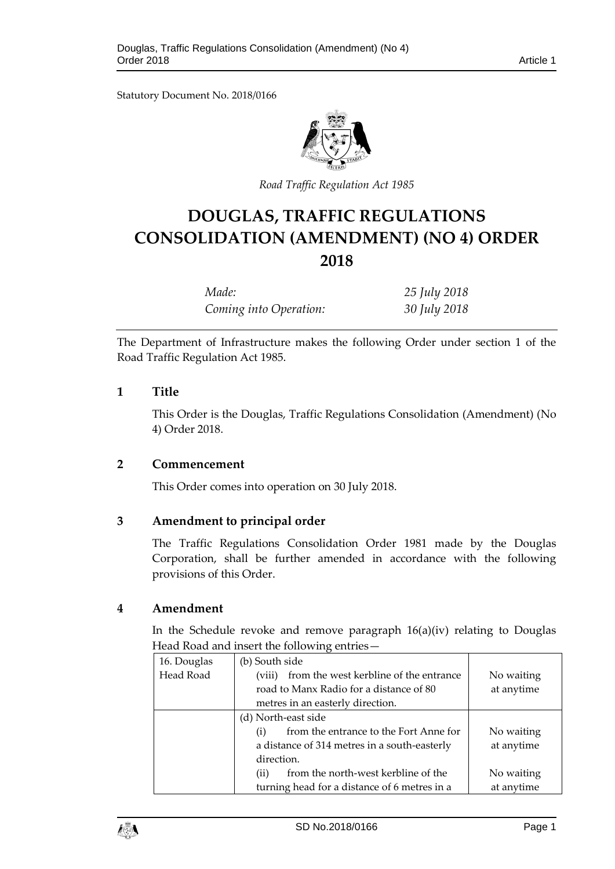Statutory Document No. 2018/0166



*Road Traffic Regulation Act 1985*

# **DOUGLAS, TRAFFIC REGULATIONS CONSOLIDATION (AMENDMENT) (NO 4) ORDER 2018**

| Made:                  | 25 July 2018 |
|------------------------|--------------|
| Coming into Operation: | 30 July 2018 |

The Department of Infrastructure makes the following Order under section 1 of the Road Traffic Regulation Act 1985.

## **1 Title**

This Order is the Douglas, Traffic Regulations Consolidation (Amendment) (No 4) Order 2018.

#### **2 Commencement**

This Order comes into operation on 30 July 2018.

## **3 Amendment to principal order**

The Traffic Regulations Consolidation Order 1981 made by the Douglas Corporation, shall be further amended in accordance with the following provisions of this Order.

#### **4 Amendment**

In the Schedule revoke and remove paragraph 16(a)(iv) relating to Douglas Head Road and insert the following entries—

| 16. Douglas | (b) South side                                              |            |
|-------------|-------------------------------------------------------------|------------|
| Head Road   | from the west kerbline of the entrance<br>(viii)            | No waiting |
|             | road to Manx Radio for a distance of 80                     | at anytime |
|             | metres in an easterly direction.                            |            |
|             | (d) North-east side                                         |            |
|             | from the entrance to the Fort Anne for<br>$\left( i\right)$ | No waiting |
|             | a distance of 314 metres in a south-easterly                | at anytime |
|             | direction.                                                  |            |
|             | from the north-west kerbline of the<br>(ii)                 | No waiting |
|             | turning head for a distance of 6 metres in a                | at anytime |

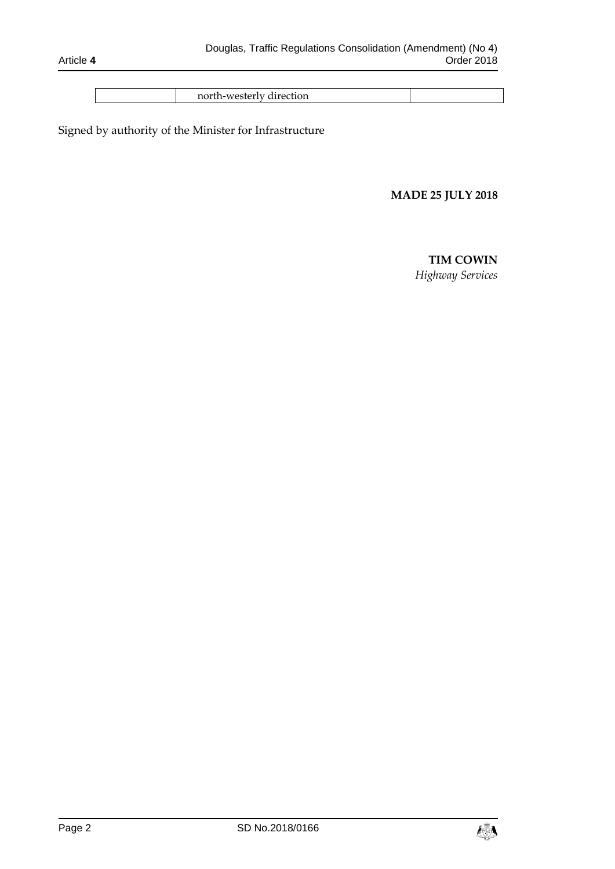| north-westerly direction |  |  |  |
|--------------------------|--|--|--|
|--------------------------|--|--|--|

Signed by authority of the Minister for Infrastructure

## **MADE 25 JULY 2018**

# **TIM COWIN**

*Highway Services*